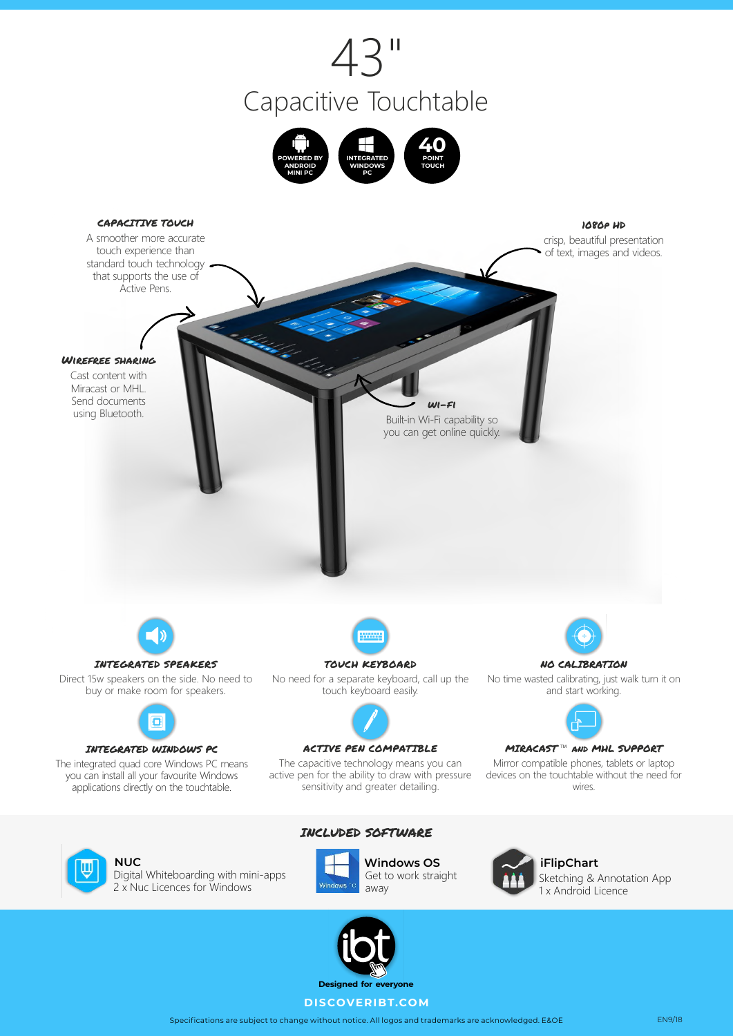







**NUC**  Digital Whiteboarding with mini-apps 2 x Nuc Licences for Windows





**Windows OS** Get to work straight



**iFlipChart**  Sketching & Annotation App 1 x Android Licence



Specifications are subject to change without notice. All logos and trademarks are acknowledged. E&OE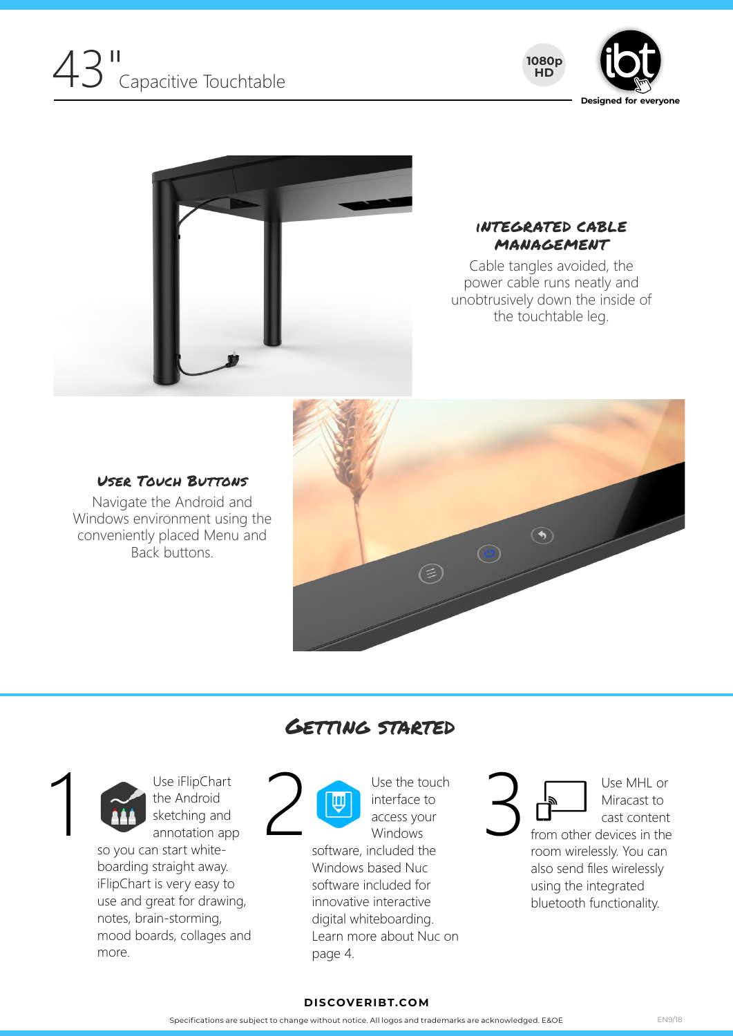





#### iNTEGRATED CABLE MANAGEMENT

Cable tangles avoided, the power cable runs neatly and unobtrusively down the inside of the touchtable leg.

#### User Touch Buttons

Navigate the Android and Windows environment using the conveniently placed Menu and Back buttons.





1

 the Android annotation app so you can start whitesketching and

boarding straight away. iFlipChart is very easy to use and great for drawing, notes, brain-storming, mood boards, collages and more.

### Getting started



**i** interface to access your Windows

software, included the Windows based Nuc software included for innovative interactive digital whiteboarding. Learn more about Nuc on page 4.



Use the touch<br>
interface to<br>
access your<br>
Windows<br>
software, included the<br>
software and the<br>
software and the<br>
software and the<br>
software included the Miracast to Use MHL or

from other devices in the room wirelessly. You can also send files wirelessly using the integrated bluetooth functionality.

#### **DISCOVERIBT.COM**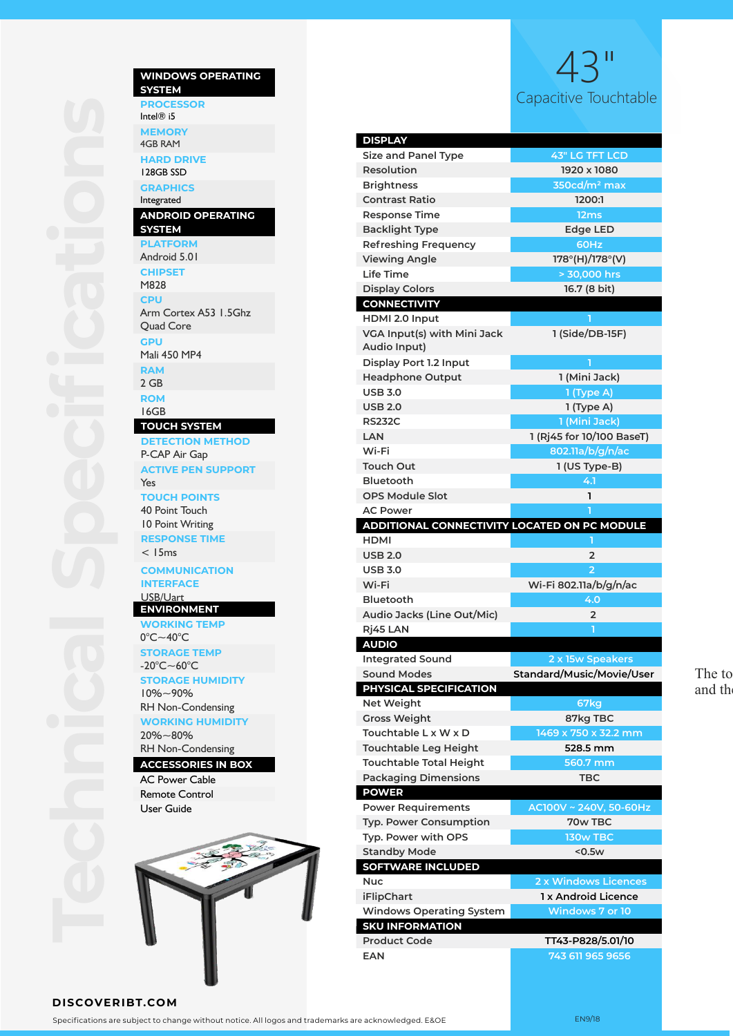

## Capacitive Touchtable 43"

| <b>DISPLAY</b>                               |                           |
|----------------------------------------------|---------------------------|
| <b>Size and Panel Type</b>                   | <b>43" LG TFT LCD</b>     |
| Resolution                                   | 1920 x 1080               |
| <b>Brightness</b>                            | $350cd/m2$ max            |
| <b>Contrast Ratio</b>                        | 1200:1                    |
| Response Time                                | 12 <sub>ms</sub>          |
| <b>Backlight Type</b>                        | <b>Edge LED</b>           |
| <b>Refreshing Frequency</b>                  | 60Hz                      |
| <b>Viewing Angle</b>                         | 178°(H)/178°(V)           |
| Life Time                                    | > 30,000 hrs              |
| <b>Display Colors</b>                        | 16.7 (8 bit)              |
| <b>CONNECTIVITY</b>                          |                           |
| HDMI 2.0 Input                               | ٦                         |
| VGA Input(s) with Mini Jack                  | 1 (Side/DB-15F)           |
| Audio Input)                                 |                           |
| Display Port 1.2 Input                       | ٦                         |
| <b>Headphone Output</b>                      | 1 (Mini Jack)             |
| <b>USB 3.0</b>                               | 1 (Type A)                |
| <b>USB 2.0</b>                               | 1 (Type A)                |
| <b>RS232C</b>                                | 1 (Mini Jack)             |
| LAN                                          | 1 (Rj45 for 10/100 BaseT) |
| Wi-Fi                                        | 802.11a/b/g/n/ac          |
| Touch Out                                    | 1 (US Type-B)             |
| <b>Bluetooth</b>                             | 4.1                       |
| <b>OPS Module Slot</b>                       | ı                         |
| <b>AC Power</b>                              |                           |
| ADDITIONAL CONNECTIVITY LOCATED ON PC MODULE |                           |
| HDMI                                         | п                         |
| <b>USB 2.0</b>                               | 2                         |
|                                              |                           |
| <b>USB 3.0</b>                               | $\overline{2}$            |
| Wi-Fi                                        | Wi-Fi 802.11a/b/g/n/ac    |
| <b>Bluetooth</b>                             | 4.0                       |
| Audio Jacks (Line Out/Mic)                   | $\overline{2}$            |
| Rİ45 LAN                                     | ٦                         |
| <b>AUDIO</b>                                 |                           |
| <b>Integrated Sound</b>                      | 2 x 15w Speakers          |
| <b>Sound Modes</b>                           | Standard/Music/Movie/User |
| PHYSICAL SPECIFICATION                       |                           |
| <b>Net Weight</b>                            | 67kg                      |
| <b>Gross Weight</b>                          | 87kg TBC                  |
| Touchtable L x W x D                         | 1469 x 750 x 32.2 mm      |
| <b>Touchtable Leg Height</b>                 | 528.5 mm                  |
| <b>Touchtable Total Height</b>               | 560.7 mm                  |
| <b>Packaging Dimensions</b>                  | TBC                       |
| <b>POWER</b>                                 |                           |
| <b>Power Requirements</b>                    | AC100V ~ 240V, 50-60Hz    |
| <b>Typ. Power Consumption</b>                | 70w TBC                   |
| Typ. Power with OPS                          | 130w TBC                  |
| <b>Standby Mode</b>                          | <0.5w                     |
| <b>SOFTWARE INCLUDED</b>                     |                           |
| Nuc                                          | 2 x Windows Licences      |
| <b>iFlipChart</b>                            | 1 x Android Licence       |
| <b>Windows Operating System</b>              | Windows 7 or 10           |
| <b>SKU INFORMATION</b>                       |                           |
| <b>Product Code</b>                          | TT43-P828/5.01/10         |
| <b>EAN</b>                                   | 743 611 965 9656          |

The to and th